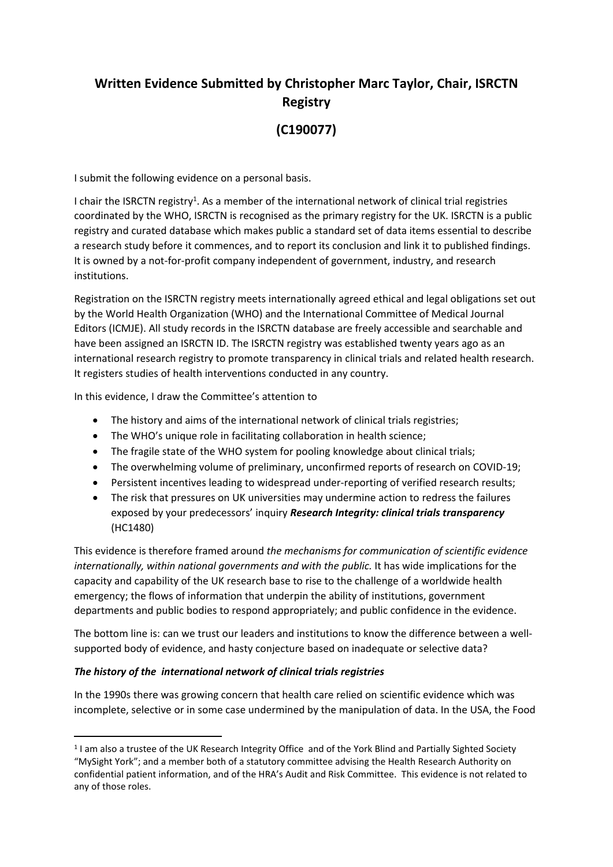# **Written Evidence Submitted by Christopher Marc Taylor, Chair, ISRCTN Registry**

# **(C190077)**

I submit the following evidence on a personal basis.

I chair the ISRCTN registry<sup>1</sup>. As a member of the international network of clinical trial registries coordinated by the WHO, ISRCTN is recognised as the primary registry for the UK. ISRCTN is a public registry and curated database which makes public a standard set of data items essential to describe a research study before it commences, and to report its conclusion and link it to published findings. It is owned by a not-for-profit company independent of government, industry, and research institutions.

Registration on the ISRCTN registry meets internationally agreed ethical and legal obligations set out by the World Health Organization (WHO) and the International Committee of Medical Journal Editors (ICMJE). All study records in the ISRCTN database are freely accessible and searchable and have been assigned an ISRCTN ID. The ISRCTN registry was established twenty years ago as an international research registry to promote transparency in clinical trials and related health research. It registers studies of health interventions conducted in any country.

In this evidence, I draw the Committee's attention to

- The history and aims of the international network of clinical trials registries;
- The WHO's unique role in facilitating collaboration in health science;
- The fragile state of the WHO system for pooling knowledge about clinical trials;
- The overwhelming volume of preliminary, unconfirmed reports of research on COVID-19;
- Persistent incentives leading to widespread under-reporting of verified research results;
- The risk that pressures on UK universities may undermine action to redress the failures exposed by your predecessors' inquiry *Research Integrity: clinical trials transparency* (HC1480)

This evidence is therefore framed around *the mechanisms for communication of scientific evidence internationally, within national governments and with the public.* It has wide implications for the capacity and capability of the UK research base to rise to the challenge of a worldwide health emergency; the flows of information that underpin the ability of institutions, government departments and public bodies to respond appropriately; and public confidence in the evidence.

The bottom line is: can we trust our leaders and institutions to know the difference between a wellsupported body of evidence, and hasty conjecture based on inadequate or selective data?

# *The history of the international network of clinical trials registries*

In the 1990s there was growing concern that health care relied on scientific evidence which was incomplete, selective or in some case undermined by the manipulation of data. In the USA, the Food

<sup>&</sup>lt;sup>1</sup> I am also a trustee of the UK Research Integrity Office and of the York Blind and Partially Sighted Society "MySight York"; and a member both of a statutory committee advising the Health Research Authority on confidential patient information, and of the HRA's Audit and Risk Committee. This evidence is not related to any of those roles.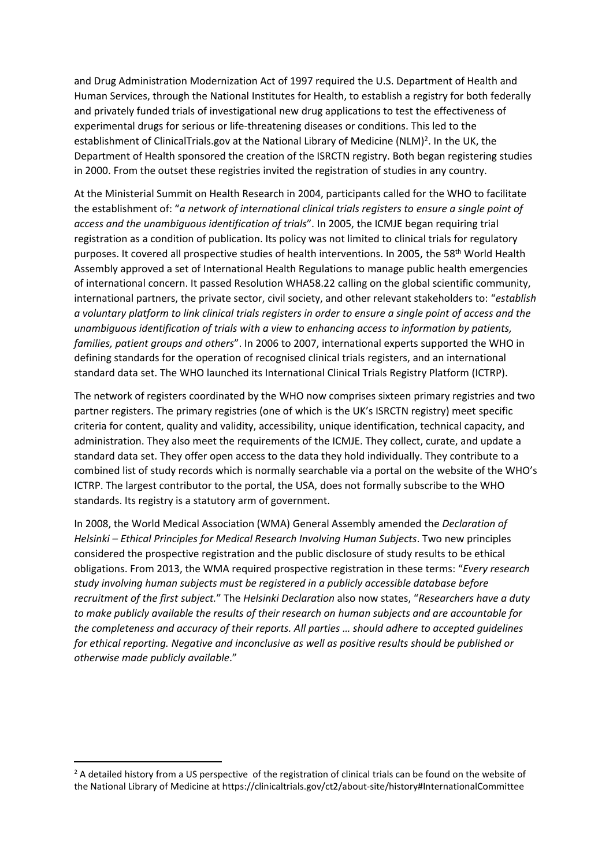and Drug Administration Modernization Act of 1997 required the U.S. Department of Health and Human Services, through the National Institutes for Health, to establish a registry for both federally and privately funded trials of investigational new drug applications to test the effectiveness of experimental drugs for serious or life-threatening diseases or conditions. This led to the establishment of ClinicalTrials.gov at the National Library of Medicine (NLM)<sup>2</sup>. In the UK, the Department of Health sponsored the creation of the ISRCTN registry. Both began registering studies in 2000. From the outset these registries invited the registration of studies in any country.

At the Ministerial Summit on Health Research in 2004, participants called for the WHO to facilitate the establishment of: "*a network of international clinical trials registers to ensure a single point of access and the unambiguous identification of trials*". In 2005, the ICMJE began requiring trial registration as a condition of publication. Its policy was not limited to clinical trials for regulatory purposes. It covered all prospective studies of health interventions. In 2005, the 58<sup>th</sup> World Health Assembly approved a set of International Health Regulations to manage public health emergencies of international concern. It passed Resolution WHA58.22 calling on the global scientific community, international partners, the private sector, civil society, and other relevant stakeholders to: "*establish* a voluntary platform to link clinical trials registers in order to ensure a single point of access and the *unambiguous identification of trials with a view to enhancing access to information by patients, families, patient groups and others*". In 2006 to 2007, international experts supported the WHO in defining standards for the operation of recognised clinical trials registers, and an international standard data set. The WHO launched its International Clinical Trials Registry Platform (ICTRP).

The network of registers coordinated by the WHO now comprises sixteen primary registries and two partner registers. The primary registries (one of which is the UK's ISRCTN registry) meet specific criteria for content, quality and validity, accessibility, unique identification, technical capacity, and administration. They also meet the requirements of the ICMJE. They collect, curate, and update a standard data set. They offer open access to the data they hold individually. They contribute to a combined list of study records which is normally searchable via a portal on the website of the WHO's ICTRP. The largest contributor to the portal, the USA, does not formally subscribe to the WHO standards. Its registry is a statutory arm of government.

In 2008, the World Medical Association (WMA) General Assembly amended the *Declaration of Helsinki – Ethical Principles for Medical Research Involving Human Subjects*. Two new principles considered the prospective registration and the public disclosure of study results to be ethical obligations. From 2013, the WMA required prospective registration in these terms: "*Every research study involving human subjects must be registered in a publicly accessible database before recruitment of the first subject.*" The *Helsinki Declaration* also now states, "*Researchers have a duty to make publicly available the results of their research on human subjects and are accountable for the completeness and accuracy of their reports. All parties … should adhere to accepted guidelines for ethical reporting. Negative and inconclusive as well as positive results should be published or otherwise made publicly available*."

<sup>&</sup>lt;sup>2</sup> A detailed history from a US perspective of the registration of clinical trials can be found on the website of the National Library of Medicine at https://clinicaltrials.gov/ct2/about-site/history#InternationalCommittee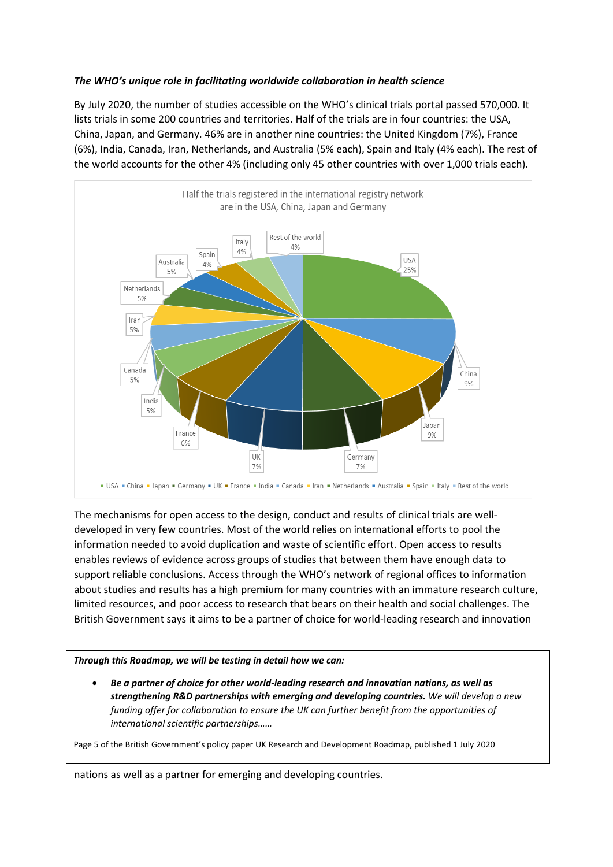# *The WHO's unique role in facilitating worldwide collaboration in health science*

By July 2020, the number of studies accessible on the WHO's clinical trials portal passed 570,000. It lists trials in some 200 countries and territories. Half of the trials are in four countries: the USA, China, Japan, and Germany. 46% are in another nine countries: the United Kingdom (7%), France (6%), India, Canada, Iran, Netherlands, and Australia (5% each), Spain and Italy (4% each). The rest of the world accounts for the other 4% (including only 45 other countries with over 1,000 trials each).



The mechanisms for open access to the design, conduct and results of clinical trials are welldeveloped in very few countries. Most of the world relies on international efforts to pool the information needed to avoid duplication and waste of scientific effort. Open access to results enables reviews of evidence across groups of studies that between them have enough data to support reliable conclusions. Access through the WHO's network of regional offices to information about studies and results has a high premium for many countries with an immature research culture, limited resources, and poor access to research that bears on their health and social challenges. The British Government says it aims to be a partner of choice for world-leading research and innovation

# *Through this Roadmap, we will be testing in detail how we can:*

 *Be a partner of choice for other world-leading research and innovation nations, as well as strengthening R&D partnerships with emerging and developing countries. We will develop a new funding offer for collaboration to ensure the UK can further benefit from the opportunities of international scientific partnerships……*

Page 5 of the British Government's policy paper UK Research and Development Roadmap, published 1 July 2020

nations as well as a partner for emerging and developing countries.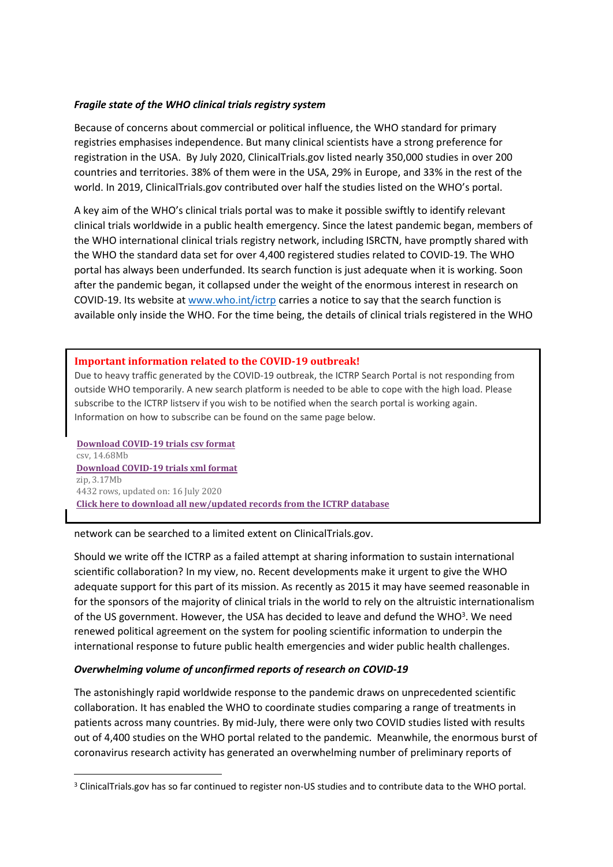# *Fragile state of the WHO clinical trials registry system*

Because of concerns about commercial or political influence, the WHO standard for primary registries emphasises independence. But many clinical scientists have a strong preference for registration in the USA. By July 2020, ClinicalTrials.gov listed nearly 350,000 studies in over 200 countries and territories. 38% of them were in the USA, 29% in Europe, and 33% in the rest of the world. In 2019, ClinicalTrials.gov contributed over half the studies listed on the WHO's portal.

A key aim of the WHO's clinical trials portal was to make it possible swiftly to identify relevant clinical trials worldwide in a public health emergency. Since the latest pandemic began, members of the WHO international clinical trials registry network, including ISRCTN, have promptly shared with the WHO the standard data set for over 4,400 registered studies related to COVID-19. The WHO portal has always been underfunded. Its search function is just adequate when it is working. Soon after the pandemic began, it collapsed under the weight of the enormous interest in research on COVID-19. Its website at [www.who.int/ictrp](http://www.who.int/ictrp) carries a notice to say that the search function is available only inside the WHO. For the time being, the details of clinical trials registered in the WHO

# **Important information related to the COVID-19 outbreak!**

Due to heavy traffic generated by the COVID-19 outbreak, the ICTRP Search Portal is not responding from outside WHO temporarily. A new search platform is needed to be able to cope with the high load. Please subscribe to the ICTRP listserv if you wish to be notified when the search portal is working again. Information on how to subscribe can be found on the same page below.

 **[Download](https://www.who.int/ictrp/COVID19-web.csv) [COVID-19](https://www.who.int/ictrp/COVID19-web.csv) [trials](https://www.who.int/ictrp/COVID19-web.csv) [csv](https://www.who.int/ictrp/COVID19-web.csv) [format](https://www.who.int/ictrp/COVID19-web.csv)** [csv,](https://www.who.int/ictrp/COVID19-web.csv) [14.68Mb](https://www.who.int/ictrp/COVID19-web.csv) **[Download](https://www.who.int/ictrp/COVID19-web.zip?ua=1) [COVID-19](https://www.who.int/ictrp/COVID19-web.zip?ua=1) [trials](https://www.who.int/ictrp/COVID19-web.zip?ua=1) [xml](https://www.who.int/ictrp/COVID19-web.zip?ua=1) [format](https://www.who.int/ictrp/COVID19-web.zip?ua=1)** [zip,](https://www.who.int/ictrp/COVID19-web.zip?ua=1) [3.17Mb](https://www.who.int/ictrp/COVID19-web.zip?ua=1) 4432 rows, updated on: 16 July 2020 **[Click](https://www.who.int/ictrp/data/en/) [here](https://www.who.int/ictrp/data/en/) [to](https://www.who.int/ictrp/data/en/) [download](https://www.who.int/ictrp/data/en/) [all](https://www.who.int/ictrp/data/en/) [new/updated](https://www.who.int/ictrp/data/en/) [records](https://www.who.int/ictrp/data/en/) [from](https://www.who.int/ictrp/data/en/) [the](https://www.who.int/ictrp/data/en/) [ICTRP](https://www.who.int/ictrp/data/en/) [database](https://www.who.int/ictrp/data/en/)**

#### network can be searched to a limited extent on ClinicalTrials.gov.

Should we write off the ICTRP as a failed attempt at sharing information to sustain international scientific collaboration? In my view, no. Recent developments make it urgent to give the WHO adequate support for this part of its mission. As recently as 2015 it may have seemed reasonable in for the sponsors of the majority of clinical trials in the world to rely on the altruistic internationalism of the US government. However, the USA has decided to leave and defund the WHO<sup>3</sup>. We need renewed political agreement on the system for pooling scientific information to underpin the international response to future public health emergencies and wider public health challenges.

#### *Overwhelming volume of unconfirmed reports of research on COVID-19*

The astonishingly rapid worldwide response to the pandemic draws on unprecedented scientific collaboration. It has enabled the WHO to coordinate studies comparing a range of treatments in patients across many countries. By mid-July, there were only two COVID studies listed with results out of 4,400 studies on the WHO portal related to the pandemic. Meanwhile, the enormous burst of coronavirus research activity has generated an overwhelming number of preliminary reports of

<sup>3</sup> ClinicalTrials.gov has so far continued to register non-US studies and to contribute data to the WHO portal.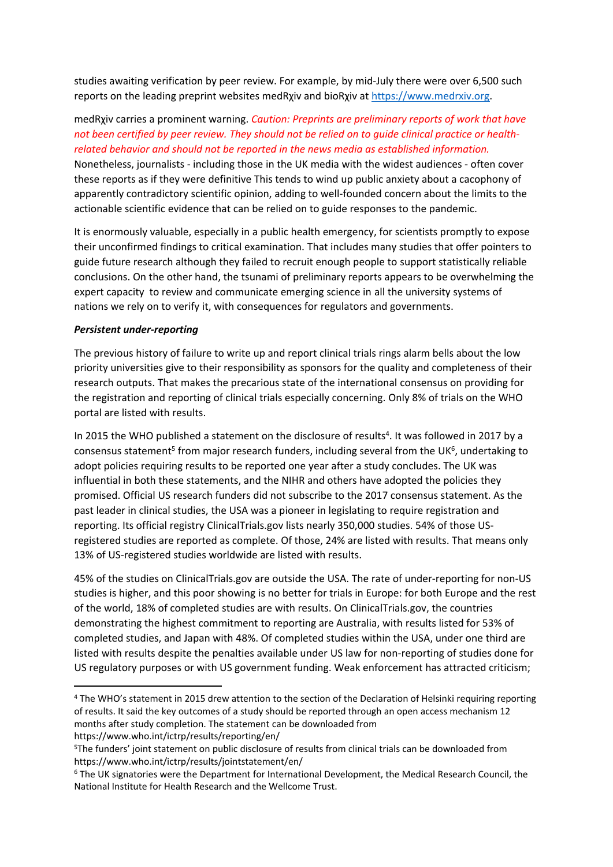studies awaiting verification by peer review. For example, by mid-July there were over 6,500 such reports on the leading preprint websites medRχiv and bioRχiv at [https://www.medrxiv.org.](https://www.medrxiv.org/)

# medRχiv carries a prominent warning. *Caution: Preprints are preliminary reports of work that have* not been certified by peer review. They should not be relied on to quide clinical practice or health*related behavior and should not be reported in the news media as established information.*

Nonetheless, journalists - including those in the UK media with the widest audiences - often cover these reports as if they were definitive This tends to wind up public anxiety about a cacophony of apparently contradictory scientific opinion, adding to well-founded concern about the limits to the actionable scientific evidence that can be relied on to guide responses to the pandemic.

It is enormously valuable, especially in a public health emergency, for scientists promptly to expose their unconfirmed findings to critical examination. That includes many studies that offer pointers to guide future research although they failed to recruit enough people to support statistically reliable conclusions. On the other hand, the tsunami of preliminary reports appears to be overwhelming the expert capacity to review and communicate emerging science in all the university systems of nations we rely on to verify it, with consequences for regulators and governments.

# *Persistent under-reporting*

The previous history of failure to write up and report clinical trials rings alarm bells about the low priority universities give to their responsibility as sponsors for the quality and completeness of their research outputs. That makes the precarious state of the international consensus on providing for the registration and reporting of clinical trials especially concerning. Only 8% of trials on the WHO portal are listed with results.

In 2015 the WHO published a statement on the disclosure of results<sup>4</sup>. It was followed in 2017 by a consensus statement<sup>5</sup> from major research funders, including several from the UK<sup>6</sup>, undertaking to adopt policies requiring results to be reported one year after a study concludes. The UK was influential in both these statements, and the NIHR and others have adopted the policies they promised. Official US research funders did not subscribe to the 2017 consensus statement. As the past leader in clinical studies, the USA was a pioneer in legislating to require registration and reporting. Its official registry ClinicalTrials.gov lists nearly 350,000 studies. 54% of those USregistered studies are reported as complete. Of those, 24% are listed with results. That means only 13% of US-registered studies worldwide are listed with results.

45% of the studies on ClinicalTrials.gov are outside the USA. The rate of under-reporting for non-US studies is higher, and this poor showing is no better for trials in Europe: for both Europe and the rest of the world, 18% of completed studies are with results. On ClinicalTrials.gov, the countries demonstrating the highest commitment to reporting are Australia, with results listed for 53% of completed studies, and Japan with 48%. Of completed studies within the USA, under one third are listed with results despite the penalties available under US law for non-reporting of studies done for US regulatory purposes or with US government funding. Weak enforcement has attracted criticism;

<sup>4</sup> The WHO's statement in 2015 drew attention to the section of the Declaration of Helsinki requiring reporting of results. It said the key outcomes of a study should be reported through an open access mechanism 12 months after study completion. The statement can be downloaded from https://www.who.int/ictrp/results/reporting/en/

<sup>5</sup>The funders' joint statement on public disclosure of results from clinical trials can be downloaded from https://www.who.int/ictrp/results/jointstatement/en/

<sup>6</sup> The UK signatories were the Department for International Development, the Medical Research Council, the National Institute for Health Research and the Wellcome Trust.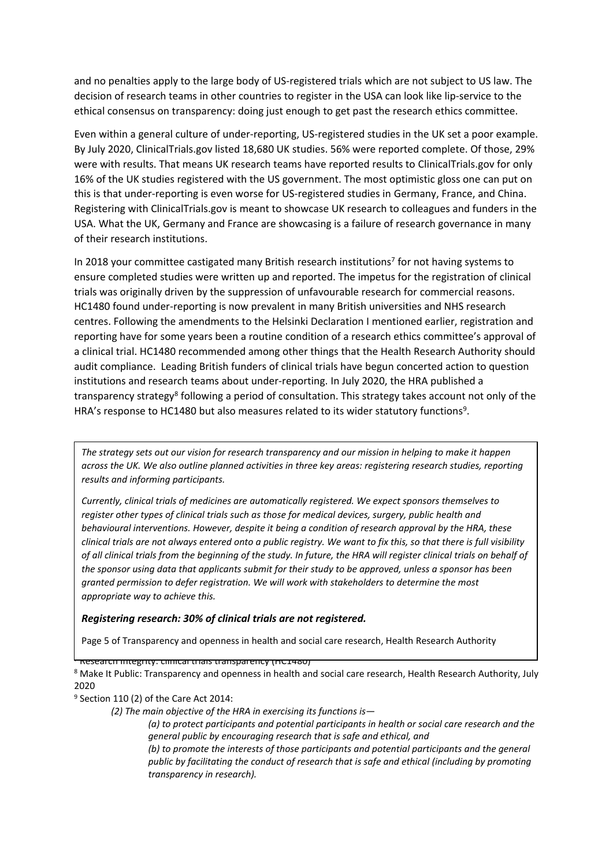and no penalties apply to the large body of US-registered trials which are not subject to US law. The decision of research teams in other countries to register in the USA can look like lip-service to the ethical consensus on transparency: doing just enough to get past the research ethics committee.

Even within a general culture of under-reporting, US-registered studies in the UK set a poor example. By July 2020, ClinicalTrials.gov listed 18,680 UK studies. 56% were reported complete. Of those, 29% were with results. That means UK research teams have reported results to ClinicalTrials.gov for only 16% of the UK studies registered with the US government. The most optimistic gloss one can put on this is that under-reporting is even worse for US-registered studies in Germany, France, and China. Registering with ClinicalTrials.gov is meant to showcase UK research to colleagues and funders in the USA. What the UK, Germany and France are showcasing is a failure of research governance in many of their research institutions.

In 2018 your committee castigated many British research institutions<sup>7</sup> for not having systems to ensure completed studies were written up and reported. The impetus for the registration of clinical trials was originally driven by the suppression of unfavourable research for commercial reasons. HC1480 found under-reporting is now prevalent in many British universities and NHS research centres. Following the amendments to the Helsinki Declaration I mentioned earlier, registration and reporting have for some years been a routine condition of a research ethics committee's approval of a clinical trial. HC1480 recommended among other things that the Health Research Authority should audit compliance. Leading British funders of clinical trials have begun concerted action to question institutions and research teams about under-reporting. In July 2020, the HRA published a transparency strategy<sup>8</sup> following a period of consultation. This strategy takes account not only of the HRA's response to HC1480 but also measures related to its wider statutory functions<sup>9</sup>.

The strategy sets out our vision for research transparency and our mission in helping to make it happen *across the UK. We also outline planned activities in three key areas: registering research studies, reporting results and informing participants.*

*Currently, clinical trials of medicines are automatically registered. We expect sponsors themselves to register other types of clinical trials such as those for medical devices, surgery, public health and behavioural interventions. However, despite it being a condition of research approval by the HRA, these* clinical trials are not always entered onto a public registry. We want to fix this, so that there is full visibility of all clinical trials from the beginning of the study. In future, the HRA will register clinical trials on behalf of the sponsor using data that applicants submit for their study to be approved, unless a sponsor has been *granted permission to defer registration. We will work with stakeholders to determine the most appropriate way to achieve this.*

# *Registering research: 30% of clinical trials are not registered.*

Page 5 of Transparency and openness in health and social care research, Health Research Authority

<sup>7</sup> Research Integrity: clinical trials transparency (HC1480)

<sup>8</sup> Make It Public: Transparency and openness in health and social care research, Health Research Authority, July 2020

<sup>9</sup> Section 110 (2) of the Care Act 2014:

*(2) The main objective of the HRA in exercising its functions is—*

*(a) to protect participants and potential participants in health or social care research and the general public by encouraging research that is safe and ethical, and*

*(b) to promote the interests of those participants and potential participants and the general public by facilitating the conduct of research that is safe and ethical (including by promoting transparency in research).*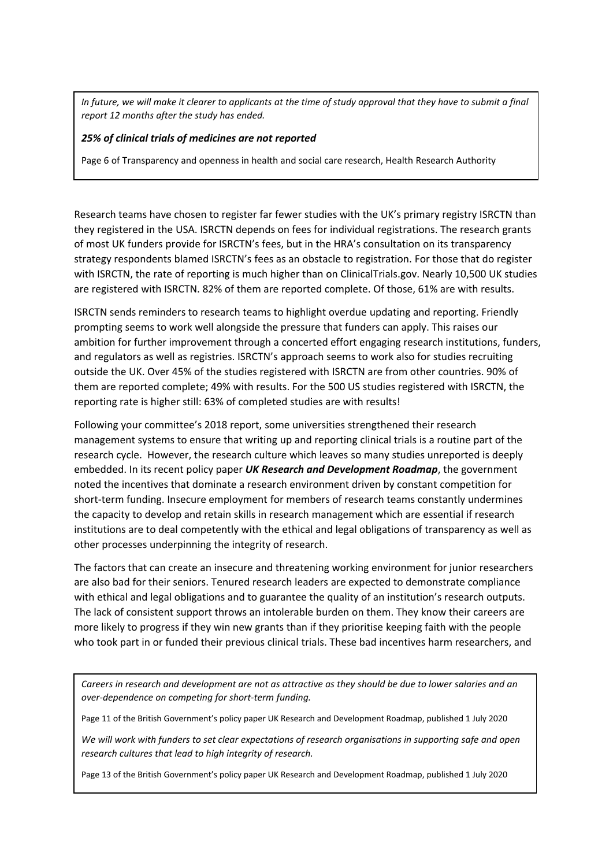In future, we will make it clearer to applicants at the time of study approval that they have to submit a final *report 12 months after the study has ended.*

#### *25% of clinical trials of medicines are not reported*

Page 6 of Transparency and openness in health and social care research, Health Research Authority

Research teams have chosen to register far fewer studies with the UK's primary registry ISRCTN than they registered in the USA. ISRCTN depends on fees for individual registrations. The research grants of most UK funders provide for ISRCTN's fees, but in the HRA's consultation on its transparency strategy respondents blamed ISRCTN's fees as an obstacle to registration. For those that do register with ISRCTN, the rate of reporting is much higher than on ClinicalTrials.gov. Nearly 10,500 UK studies are registered with ISRCTN. 82% of them are reported complete. Of those, 61% are with results.

ISRCTN sends reminders to research teams to highlight overdue updating and reporting. Friendly prompting seems to work well alongside the pressure that funders can apply. This raises our ambition for further improvement through a concerted effort engaging research institutions, funders, and regulators as well as registries. ISRCTN's approach seems to work also for studies recruiting outside the UK. Over 45% of the studies registered with ISRCTN are from other countries. 90% of them are reported complete; 49% with results. For the 500 US studies registered with ISRCTN, the reporting rate is higher still: 63% of completed studies are with results!

Following your committee's 2018 report, some universities strengthened their research management systems to ensure that writing up and reporting clinical trials is a routine part of the research cycle. However, the research culture which leaves so many studies unreported is deeply embedded. In its recent policy paper *UK Research and Development Roadmap*, the government noted the incentives that dominate a research environment driven by constant competition for short-term funding. Insecure employment for members of research teams constantly undermines the capacity to develop and retain skills in research management which are essential if research institutions are to deal competently with the ethical and legal obligations of transparency as well as other processes underpinning the integrity of research.

The factors that can create an insecure and threatening working environment for junior researchers are also bad for their seniors. Tenured research leaders are expected to demonstrate compliance with ethical and legal obligations and to guarantee the quality of an institution's research outputs. The lack of consistent support throws an intolerable burden on them. They know their careers are more likely to progress if they win new grants than if they prioritise keeping faith with the people who took part in or funded their previous clinical trials. These bad incentives harm researchers, and

Careers in research and development are not as attractive as they should be due to lower salaries and an *over-dependence on competing for short-term funding.*

Page 11 of the British Government's policy paper UK Research and Development Roadmap, published 1 July 2020

*We will work with funders to set clear expectations of research organisations in supporting safe and open research cultures that lead to high integrity of research.*

Page 13 of the British Government's policy paper UK Research and Development Roadmap, published 1 July 2020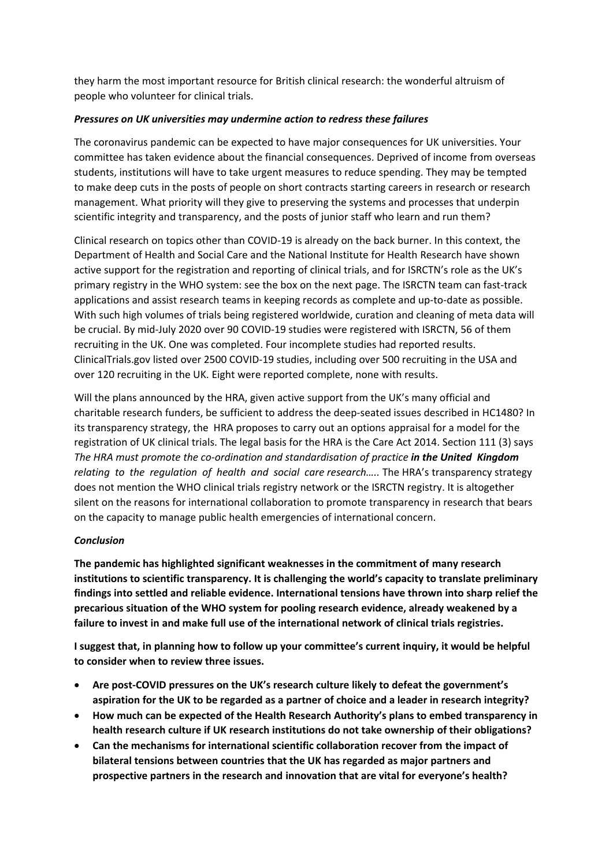they harm the most important resource for British clinical research: the wonderful altruism of people who volunteer for clinical trials.

# *Pressures on UK universities may undermine action to redress these failures*

The coronavirus pandemic can be expected to have major consequences for UK universities. Your committee has taken evidence about the financial consequences. Deprived of income from overseas students, institutions will have to take urgent measures to reduce spending. They may be tempted to make deep cuts in the posts of people on short contracts starting careers in research or research management. What priority will they give to preserving the systems and processes that underpin scientific integrity and transparency, and the posts of junior staff who learn and run them?

Clinical research on topics other than COVID-19 is already on the back burner. In this context, the Department of Health and Social Care and the National Institute for Health Research have shown active support for the registration and reporting of clinical trials, and for ISRCTN's role as the UK's primary registry in the WHO system: see the box on the next page. The ISRCTN team can fast-track applications and assist research teams in keeping records as complete and up-to-date as possible. With such high volumes of trials being registered worldwide, curation and cleaning of meta data will be crucial. By mid-July 2020 over 90 COVID-19 studies were registered with ISRCTN, 56 of them recruiting in the UK. One was completed. Four incomplete studies had reported results. ClinicalTrials.gov listed over 2500 COVID-19 studies, including over 500 recruiting in the USA and over 120 recruiting in the UK. Eight were reported complete, none with results.

Will the plans announced by the HRA, given active support from the UK's many official and charitable research funders, be sufficient to address the deep-seated issues described in HC1480? In its transparency strategy, the HRA proposes to carry out an options appraisal for a model for the registration of UK clinical trials. The legal basis for the HRA is the Care Act 2014. Section 111 (3) says *The HRA must promote the co-ordination and standardisation of practice in the United Kingdom relating to the regulation of health and social care research…..* The HRA's transparency strategy does not mention the WHO clinical trials registry network or the ISRCTN registry. It is altogether silent on the reasons for international collaboration to promote transparency in research that bears on the capacity to manage public health emergencies of international concern.

# *Conclusion*

**The pandemic has highlighted significant weaknesses in the commitment of many research institutions to scientific transparency. It is challenging the world's capacity to translate preliminary findings into settled and reliable evidence. International tensions have thrown into sharp relief the precarious situation of the WHO system for pooling research evidence, already weakened by a failure to invest in and make full use of the international network of clinical trials registries.**

**I suggest that, in planning how to follow up your committee's current inquiry, it would be helpful to consider when to review three issues.**

- **Are post-COVID pressures on the UK's research culture likely to defeat the government's aspiration for the UK to be regarded as a partner of choice and a leader in research integrity?**
- **How much can be expected of the Health Research Authority's plans to embed transparency in health research culture if UK research institutions do not take ownership of their obligations?**
- **Can the mechanisms for international scientific collaboration recover from the impact of bilateral tensions between countries that the UK has regarded as major partners and prospective partners in the research and innovation that are vital for everyone's health?**